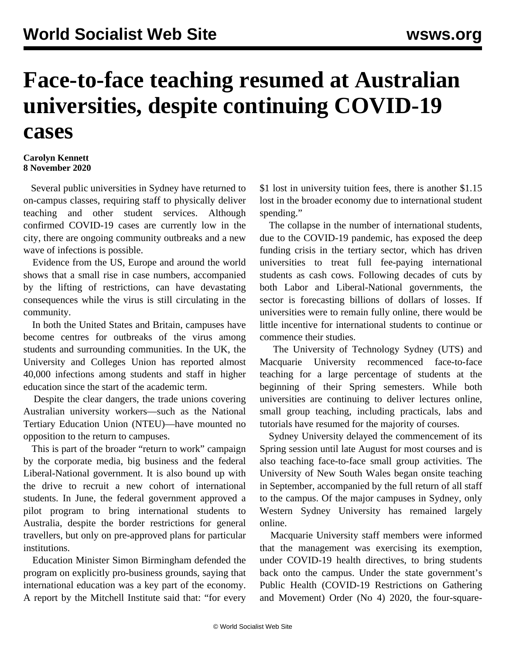## **Face-to-face teaching resumed at Australian universities, despite continuing COVID-19 cases**

## **Carolyn Kennett 8 November 2020**

 Several public universities in Sydney have returned to on-campus classes, requiring staff to physically deliver teaching and other student services. Although confirmed COVID-19 cases are currently low in the city, there are ongoing community outbreaks and a new wave of infections is possible.

 Evidence from the US, Europe and around the world shows that a small rise in case numbers, accompanied by the lifting of restrictions, can have devastating consequences while the virus is still circulating in the community.

 In both the United States and Britain, campuses have become centres for outbreaks of the virus among students and surrounding communities. In the UK, the University and Colleges Union has reported almost 40,000 infections among students and staff in higher education since the start of the academic term.

 Despite the clear dangers, the trade unions covering Australian university workers—such as the National Tertiary Education Union (NTEU)—have mounted no opposition to the return to campuses.

 This is part of the broader "return to work" campaign by the corporate media, big business and the federal Liberal-National government. It is also bound up with the drive to recruit a new cohort of international students. In June, the federal government approved a pilot program to bring international students to Australia, despite the border restrictions for general travellers, but only on pre-approved plans for particular institutions.

 Education Minister Simon Birmingham defended the program on explicitly pro-business grounds, saying that international education was a key part of the economy. A report by the Mitchell Institute said that: "for every

\$1 lost in university tuition fees, there is another \$1.15 lost in the broader economy due to international student spending."

 The collapse in the number of international students, due to the COVID-19 pandemic, has exposed the deep funding crisis in the tertiary sector, which has driven universities to treat full fee-paying international students as cash cows. Following decades of cuts by both Labor and Liberal-National governments, the sector is forecasting billions of dollars of losses. If universities were to remain fully online, there would be little incentive for international students to continue or commence their studies.

 The University of Technology Sydney (UTS) and Macquarie University recommenced face-to-face teaching for a large percentage of students at the beginning of their Spring semesters. While both universities are continuing to deliver lectures online, small group teaching, including practicals, labs and tutorials have resumed for the majority of courses.

 Sydney University delayed the commencement of its Spring session until late August for most courses and is also teaching face-to-face small group activities. The University of New South Wales began onsite teaching in September, accompanied by the full return of all staff to the campus. Of the major campuses in Sydney, only Western Sydney University has remained largely online.

 Macquarie University staff members were informed that the management was exercising its exemption, under COVID-19 health directives, to bring students back onto the campus. Under the state government's Public Health (COVID-19 Restrictions on Gathering and Movement) Order (No 4) 2020, the four-square